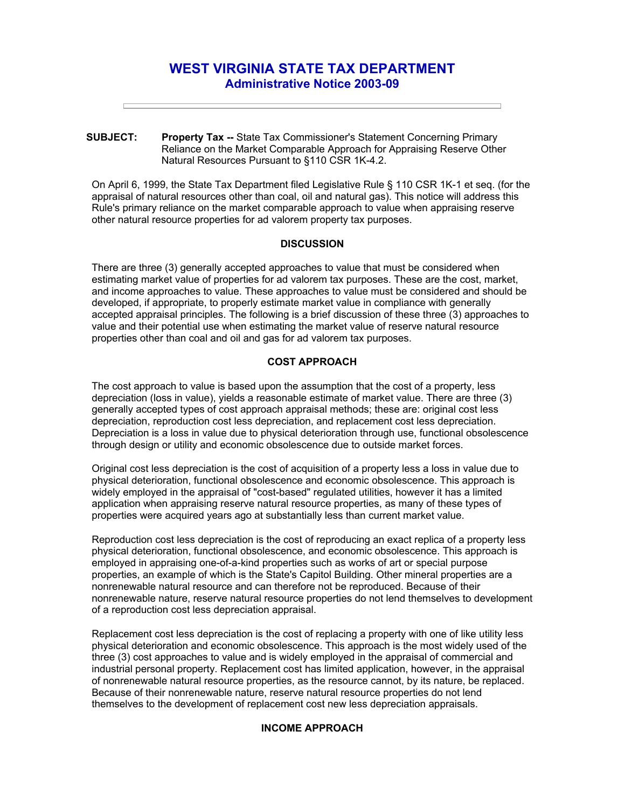# **WEST VIRGINIA STATE TAX DEPARTMENT Administrative Notice 2003-09**

**SUBJECT: Property Tax --** State Tax Commissioner's Statement Concerning Primary Reliance on the Market Comparable Approach for Appraising Reserve Other Natural Resources Pursuant to §110 CSR 1K-4.2.

On April 6, 1999, the State Tax Department filed Legislative Rule § 110 CSR 1K-1 et seq. (for the appraisal of natural resources other than coal, oil and natural gas). This notice will address this Rule's primary reliance on the market comparable approach to value when appraising reserve other natural resource properties for ad valorem property tax purposes.

## **DISCUSSION**

There are three (3) generally accepted approaches to value that must be considered when estimating market value of properties for ad valorem tax purposes. These are the cost, market, and income approaches to value. These approaches to value must be considered and should be developed, if appropriate, to properly estimate market value in compliance with generally accepted appraisal principles. The following is a brief discussion of these three (3) approaches to value and their potential use when estimating the market value of reserve natural resource properties other than coal and oil and gas for ad valorem tax purposes.

# **COST APPROACH**

The cost approach to value is based upon the assumption that the cost of a property, less depreciation (loss in value), yields a reasonable estimate of market value. There are three (3) generally accepted types of cost approach appraisal methods; these are: original cost less depreciation, reproduction cost less depreciation, and replacement cost less depreciation. Depreciation is a loss in value due to physical deterioration through use, functional obsolescence through design or utility and economic obsolescence due to outside market forces.

Original cost less depreciation is the cost of acquisition of a property less a loss in value due to physical deterioration, functional obsolescence and economic obsolescence. This approach is widely employed in the appraisal of "cost-based" regulated utilities, however it has a limited application when appraising reserve natural resource properties, as many of these types of properties were acquired years ago at substantially less than current market value.

Reproduction cost less depreciation is the cost of reproducing an exact replica of a property less physical deterioration, functional obsolescence, and economic obsolescence. This approach is employed in appraising one-of-a-kind properties such as works of art or special purpose properties, an example of which is the State's Capitol Building. Other mineral properties are a nonrenewable natural resource and can therefore not be reproduced. Because of their nonrenewable nature, reserve natural resource properties do not lend themselves to development of a reproduction cost less depreciation appraisal.

Replacement cost less depreciation is the cost of replacing a property with one of like utility less physical deterioration and economic obsolescence. This approach is the most widely used of the three (3) cost approaches to value and is widely employed in the appraisal of commercial and industrial personal property. Replacement cost has limited application, however, in the appraisal of nonrenewable natural resource properties, as the resource cannot, by its nature, be replaced. Because of their nonrenewable nature, reserve natural resource properties do not lend themselves to the development of replacement cost new less depreciation appraisals.

## **INCOME APPROACH**